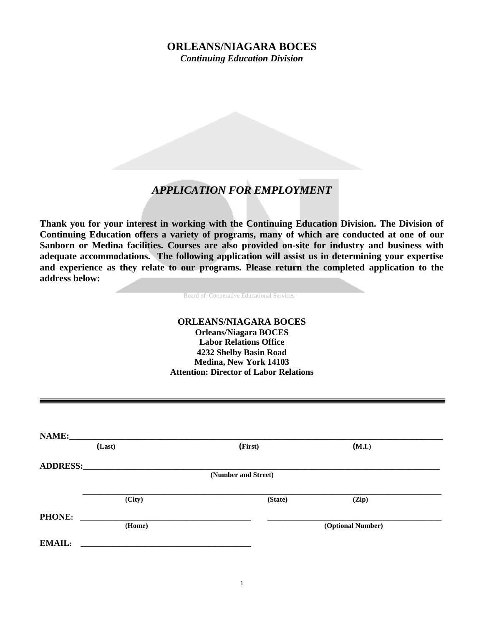# **ORLEANS/NIAGARA BOCES**

*Continuing Education Division*

# *APPLICATION FOR EMPLOYMENT*

**Thank you for your interest in working with the Continuing Education Division. The Division of Continuing Education offers a variety of programs, many of which are conducted at one of our Sanborn or Medina facilities. Courses are also provided on-site for industry and business with adequate accommodations. The following application will assist us in determining your expertise**  and experience as they relate to our programs. Please return the completed application to the **address below:**

Board of Cooperative Educational Services

### **ORLEANS/NIAGARA BOCES Orleans/Niagara BOCES Labor Relations Office 4232 Shelby Basin Road Medina, New York 14103 Attention: Director of Labor Relations**

| NAME:               | (Last) | (First) | (M.I.)            |  |  |  |  |
|---------------------|--------|---------|-------------------|--|--|--|--|
| <b>ADDRESS:</b>     |        |         |                   |  |  |  |  |
| (Number and Street) |        |         |                   |  |  |  |  |
|                     | (City) | (State) | (Zip)             |  |  |  |  |
| <b>PHONE:</b>       |        |         |                   |  |  |  |  |
|                     | (Home) |         | (Optional Number) |  |  |  |  |
|                     |        |         |                   |  |  |  |  |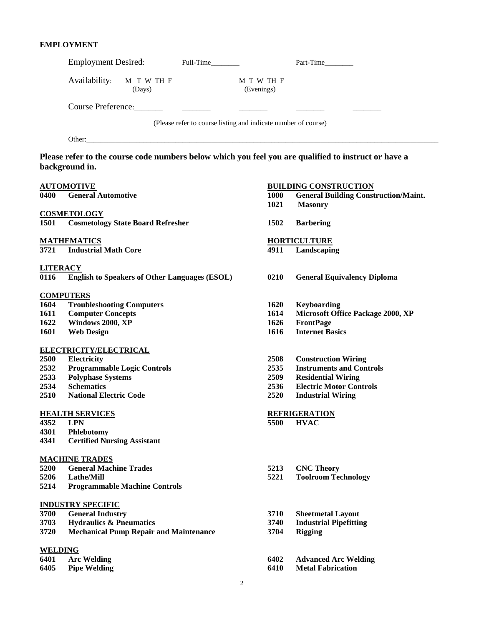# **EMPLOYMENT**

|                  |                                                  |                                               | Employment Desired: Full-Time                                  |                          | Part-Time                                                                                            |
|------------------|--------------------------------------------------|-----------------------------------------------|----------------------------------------------------------------|--------------------------|------------------------------------------------------------------------------------------------------|
|                  | Availability:                                    | M T W TH F<br>(Days)                          |                                                                | M T W TH F<br>(Evenings) |                                                                                                      |
|                  |                                                  |                                               |                                                                |                          |                                                                                                      |
|                  |                                                  |                                               | (Please refer to course listing and indicate number of course) |                          |                                                                                                      |
|                  |                                                  |                                               |                                                                |                          |                                                                                                      |
|                  | background in.                                   |                                               |                                                                |                          | Please refer to the course code numbers below which you feel you are qualified to instruct or have a |
|                  | <b>AUTOMOTIVE</b>                                |                                               |                                                                |                          | <b>BUILDING CONSTRUCTION</b>                                                                         |
| 0400             | <b>General Automotive</b>                        |                                               |                                                                | 1000                     | <b>General Building Construction/Maint.</b>                                                          |
|                  |                                                  |                                               |                                                                | 1021                     | <b>Masonry</b>                                                                                       |
| 1501             | <b>COSMETOLOGY</b>                               | <b>Cosmetology State Board Refresher</b>      |                                                                | 1502                     | <b>Barbering</b>                                                                                     |
|                  |                                                  |                                               |                                                                |                          |                                                                                                      |
|                  | <b>MATHEMATICS</b>                               |                                               |                                                                |                          | <b>HORTICULTURE</b>                                                                                  |
| 3721             | <b>Industrial Math Core</b>                      |                                               |                                                                | 4911                     | Landscaping                                                                                          |
| <b>LITERACY</b>  |                                                  |                                               |                                                                |                          |                                                                                                      |
| 0116             |                                                  |                                               | <b>English to Speakers of Other Languages (ESOL)</b>           | 0210                     | <b>General Equivalency Diploma</b>                                                                   |
| <b>COMPUTERS</b> |                                                  |                                               |                                                                |                          |                                                                                                      |
| 1604             | <b>Troubleshooting Computers</b>                 |                                               |                                                                | 1620                     | <b>Keyboarding</b>                                                                                   |
| 1611             | <b>Computer Concepts</b>                         |                                               |                                                                | 1614                     | <b>Microsoft Office Package 2000, XP</b>                                                             |
| 1622             | Windows 2000, XP                                 |                                               |                                                                | 1626                     | <b>FrontPage</b>                                                                                     |
| 1601             | <b>Web Design</b>                                |                                               |                                                                | 1616                     | <b>Internet Basics</b>                                                                               |
|                  | ELECTRICITY/ELECTRICAL                           |                                               |                                                                |                          |                                                                                                      |
| 2500             | Electricity                                      |                                               |                                                                | 2508                     | <b>Construction Wiring</b>                                                                           |
| 2532             | <b>Programmable Logic Controls</b>               |                                               |                                                                | 2535                     | <b>Instruments and Controls</b>                                                                      |
| 2533             | <b>Polyphase Systems</b>                         |                                               |                                                                | 2509                     | <b>Residential Wiring</b>                                                                            |
| 2534             | <b>Schematics</b>                                |                                               |                                                                | 2536                     | <b>Electric Motor Controls</b>                                                                       |
| 2510             | <b>National Electric Code</b>                    |                                               |                                                                | 2520                     | <b>Industrial Wiring</b>                                                                             |
|                  | <b>HEALTH SERVICES</b>                           |                                               |                                                                |                          | <b>REFRIGERATION</b>                                                                                 |
| 4352             | <b>LPN</b>                                       |                                               |                                                                | 5500                     | <b>HVAC</b>                                                                                          |
| 4301<br>4341     | Phlebotomy<br><b>Certified Nursing Assistant</b> |                                               |                                                                |                          |                                                                                                      |
|                  |                                                  |                                               |                                                                |                          |                                                                                                      |
|                  | <b>MACHINE TRADES</b>                            |                                               |                                                                |                          |                                                                                                      |
| 5200<br>5206     | <b>General Machine Trades</b><br>Lathe/Mill      |                                               |                                                                | 5213<br>5221             | <b>CNC Theory</b><br><b>Toolroom Technology</b>                                                      |
| 5214             |                                                  | <b>Programmable Machine Controls</b>          |                                                                |                          |                                                                                                      |
|                  | <b>INDUSTRY SPECIFIC</b>                         |                                               |                                                                |                          |                                                                                                      |
| 3700             | <b>General Industry</b>                          |                                               |                                                                | 3710                     | <b>Sheetmetal Layout</b>                                                                             |
| 3703             | <b>Hydraulics &amp; Pneumatics</b>               |                                               |                                                                | 3740                     | <b>Industrial Pipefitting</b>                                                                        |
| 3720             |                                                  | <b>Mechanical Pump Repair and Maintenance</b> |                                                                | 3704                     | <b>Rigging</b>                                                                                       |
| <b>WELDING</b>   |                                                  |                                               |                                                                |                          |                                                                                                      |
| 6401             | <b>Arc Welding</b>                               |                                               |                                                                | 6402                     | <b>Advanced Arc Welding</b>                                                                          |
| 6405             | <b>Pipe Welding</b>                              |                                               |                                                                | 6410                     | <b>Metal Fabrication</b>                                                                             |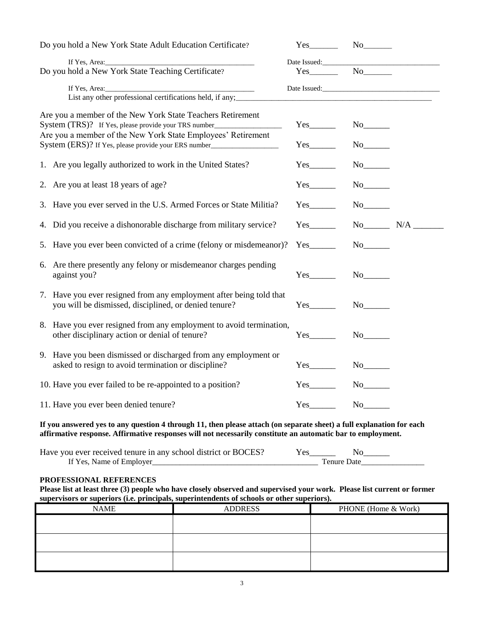| Do you hold a New York State Adult Education Certificate?                                                                                                                                                                                                                                                                       | $Yes$ No                                                                                                                                                                                                                                                                              |                          |  |
|---------------------------------------------------------------------------------------------------------------------------------------------------------------------------------------------------------------------------------------------------------------------------------------------------------------------------------|---------------------------------------------------------------------------------------------------------------------------------------------------------------------------------------------------------------------------------------------------------------------------------------|--------------------------|--|
| If Yes, Area: $\frac{1}{2}$ The Second Contract of Second Contract of Second Contract of Second Contract of Second Contract of Second Contract of Second Contract of Second Contract of Second Contract of Second Contract of Sec<br>Do you hold a New York State Teaching Certificate?<br>If Yes, Area:<br>$\frac{1}{2}$ Area: | $Yes$ No $\qquad$                                                                                                                                                                                                                                                                     |                          |  |
| List any other professional certifications held, if any;                                                                                                                                                                                                                                                                        |                                                                                                                                                                                                                                                                                       |                          |  |
| Are you a member of the New York State Teachers Retirement<br>System (TRS)? If Yes, please provide your TRS number_                                                                                                                                                                                                             | $Yes$ <sub>__________</sub>                                                                                                                                                                                                                                                           |                          |  |
| Are you a member of the New York State Employees' Retirement<br>System (ERS)? If Yes, please provide your ERS number_____________________________                                                                                                                                                                               | $Yes$ <sub>__________</sub>                                                                                                                                                                                                                                                           | $No$ <sub>_______</sub>  |  |
| 1. Are you legally authorized to work in the United States?                                                                                                                                                                                                                                                                     | $Yes$ <sub>__________</sub>                                                                                                                                                                                                                                                           |                          |  |
| 2. Are you at least 18 years of age?                                                                                                                                                                                                                                                                                            | $Yes$ <sub>__________</sub>                                                                                                                                                                                                                                                           |                          |  |
| 3. Have you ever served in the U.S. Armed Forces or State Militia?                                                                                                                                                                                                                                                              | $Yes$ <sub>__________</sub>                                                                                                                                                                                                                                                           |                          |  |
| 4. Did you receive a dishonorable discharge from military service?                                                                                                                                                                                                                                                              | $Yes$ <sub>_________</sub>                                                                                                                                                                                                                                                            | $No$ $N/A$ $\qquad$      |  |
| 5. Have you ever been convicted of a crime (felony or misdemeanor)?                                                                                                                                                                                                                                                             | $Yes$ <sub>_________</sub>                                                                                                                                                                                                                                                            | $No$ <sub>________</sub> |  |
| 6. Are there presently any felony or misdemeanor charges pending<br>against you?                                                                                                                                                                                                                                                | Yes                                                                                                                                                                                                                                                                                   |                          |  |
| 7. Have you ever resigned from any employment after being told that<br>you will be dismissed, disciplined, or denied tenure?                                                                                                                                                                                                    | Yes                                                                                                                                                                                                                                                                                   |                          |  |
| 8. Have you ever resigned from any employment to avoid termination,<br>other disciplinary action or denial of tenure?                                                                                                                                                                                                           | $Yes$ <sub>___________</sub>                                                                                                                                                                                                                                                          |                          |  |
| 9. Have you been dismissed or discharged from any employment or<br>asked to resign to avoid termination or discipline?                                                                                                                                                                                                          |                                                                                                                                                                                                                                                                                       |                          |  |
| 10. Have you ever failed to be re-appointed to a position?                                                                                                                                                                                                                                                                      | $Yes$ and $Yes$ and $Yes$ and $Yes$ and $Yes$ and $Yes$ and $Yes$ and $Yes$ and $Yes$ and $Yes$ and $Yes$ and $Yes$ and $Yes$ and $Yes$ and $Yes$ and $Yes$ and $Yes$ and $Yes$ and $Yes$ and $Yes$ and $Yes$ and $Yes$ and $Yes$ and $Yes$ and $Yes$ and $Yes$ and $Yes$ and $Yes$ a |                          |  |
| 11. Have you ever been denied tenure?                                                                                                                                                                                                                                                                                           |                                                                                                                                                                                                                                                                                       |                          |  |

**If you answered yes to any question 4 through 11, then please attach (on separate sheet) a full explanation for each affirmative response. Affirmative responses will not necessarily constitute an automatic bar to employment.**

| Have you ever received tenure in any school district or BOCES? |  |  |
|----------------------------------------------------------------|--|--|
| If Yes. Name of Employer                                       |  |  |

#### **PROFESSIONAL REFERENCES**

**Please list at least three (3) people who have closely observed and supervised your work. Please list current or former supervisors or superiors (i.e. principals, superintendents of schools or other superiors).**

| <b>NAME</b> | <b>ADDRESS</b> | PHONE (Home & Work) |  |
|-------------|----------------|---------------------|--|
|             |                |                     |  |
|             |                |                     |  |
|             |                |                     |  |
|             |                |                     |  |
|             |                |                     |  |
|             |                |                     |  |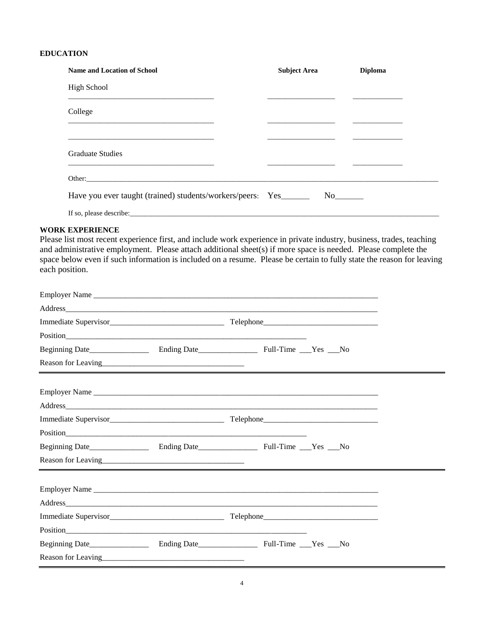# **EDUCATION**

| <b>Name and Location of School</b>                                                                                              | <b>Subject Area</b> | <b>Diploma</b>                         |
|---------------------------------------------------------------------------------------------------------------------------------|---------------------|----------------------------------------|
| High School                                                                                                                     |                     |                                        |
| <u> 2000 - 2000 - 2000 - 2000 - 2000 - 2000 - 2000 - 2000 - 2000 - 2000 - 2000 - 2000 - 2000 - 2000 - 2000 - 200</u><br>College |                     | <u> 1986 - Jan Salaman, manazarta </u> |
|                                                                                                                                 |                     |                                        |
| <b>Graduate Studies</b><br><u> 1989 - Jan James Alexander Alexander Alexander (f. 1989)</u>                                     |                     |                                        |
|                                                                                                                                 |                     |                                        |
| Have you ever taught (trained) students/workers/peers: Yes________                                                              |                     |                                        |
| If so, please describe:                                                                                                         |                     |                                        |

#### **WORK EXPERIENCE**

Please list most recent experience first, and include work experience in private industry, business, trades, teaching and administrative employment. Please attach additional sheet(s) if more space is needed. Please complete the space below even if such information is included on a resume. Please be certain to fully state the reason for leaving each position.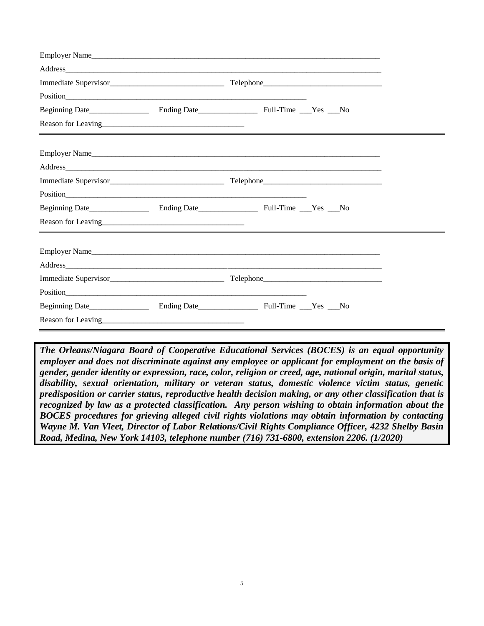| Reason for Leaving<br><u>Example 2014</u><br><u> 2000 - Andrea San Andrea San Andrea San Andrea San Andrea San Andrea San Andrea San Andrea San Andrea San An</u> |  |  |  |  |
|-------------------------------------------------------------------------------------------------------------------------------------------------------------------|--|--|--|--|
|                                                                                                                                                                   |  |  |  |  |
|                                                                                                                                                                   |  |  |  |  |
|                                                                                                                                                                   |  |  |  |  |
|                                                                                                                                                                   |  |  |  |  |
|                                                                                                                                                                   |  |  |  |  |
|                                                                                                                                                                   |  |  |  |  |
|                                                                                                                                                                   |  |  |  |  |
|                                                                                                                                                                   |  |  |  |  |
|                                                                                                                                                                   |  |  |  |  |
|                                                                                                                                                                   |  |  |  |  |
|                                                                                                                                                                   |  |  |  |  |
|                                                                                                                                                                   |  |  |  |  |

*The Orleans/Niagara Board of Cooperative Educational Services (BOCES) is an equal opportunity employer and does not discriminate against any employee or applicant for employment on the basis of gender, gender identity or expression, race, color, religion or creed, age, national origin, marital status, disability, sexual orientation, military or veteran status, domestic violence victim status, genetic predisposition or carrier status, reproductive health decision making, or any other classification that is recognized by law as a protected classification. Any person wishing to obtain information about the BOCES procedures for grieving alleged civil rights violations may obtain information by contacting Wayne M. Van Vleet, Director of Labor Relations/Civil Rights Compliance Officer, 4232 Shelby Basin Road, Medina, New York 14103, telephone number (716) 731-6800, extension 2206. (1/2020)*